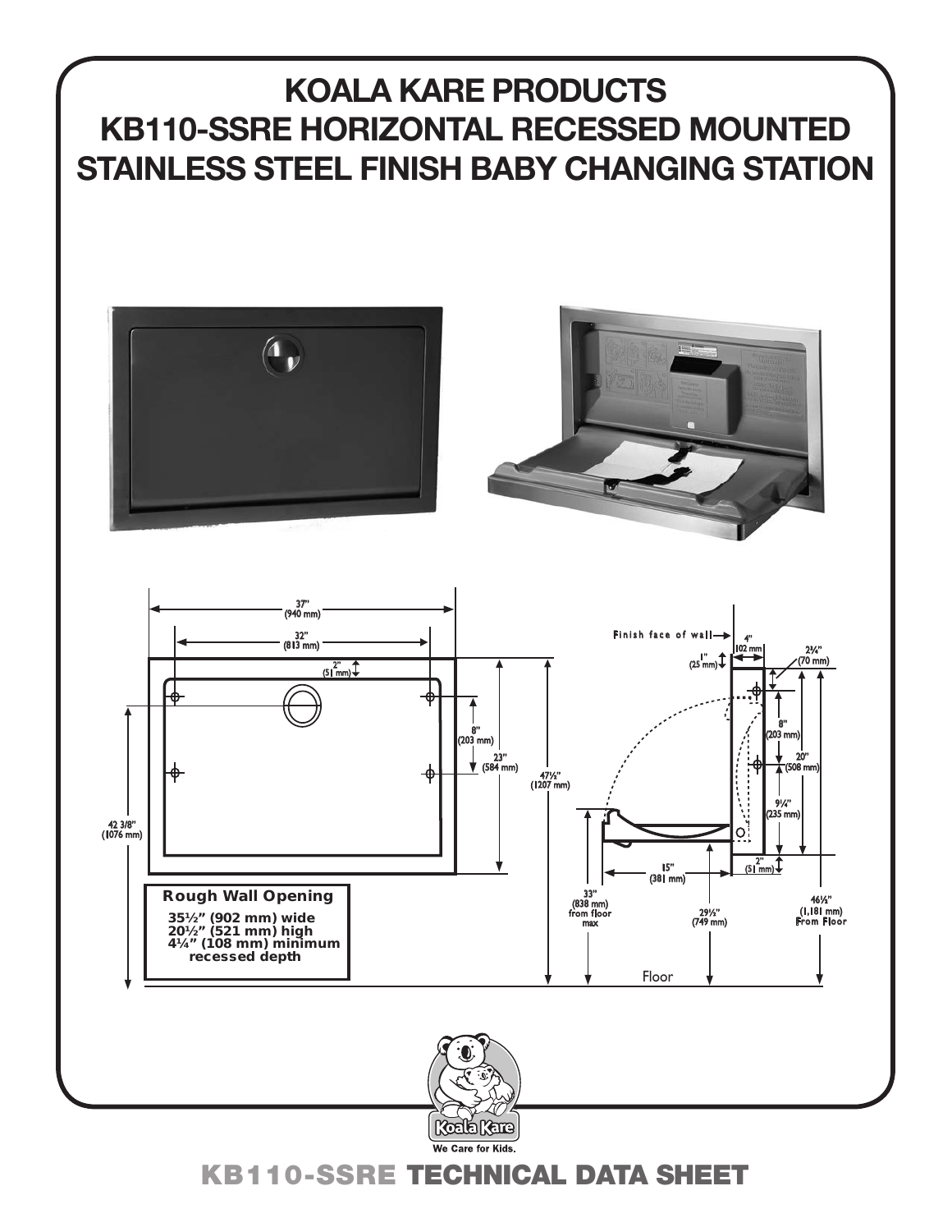# **KOALA KARE PRODUCTS KB110-SSRE HORIZONTAL RECESSED MOUNTED STAINLESS STEEL FINISH BABY CHANGING STATION**



 $\mathcal{A} = \{ \mathcal{A} \mid \mathcal{A} \in \mathcal{A} \}$  . Since  $\mathcal{A} = \{ \mathcal{A} \mid \mathcal{A} \in \mathcal{A} \}$ 







KB110-SSRE TECHNICAL DATA SHEET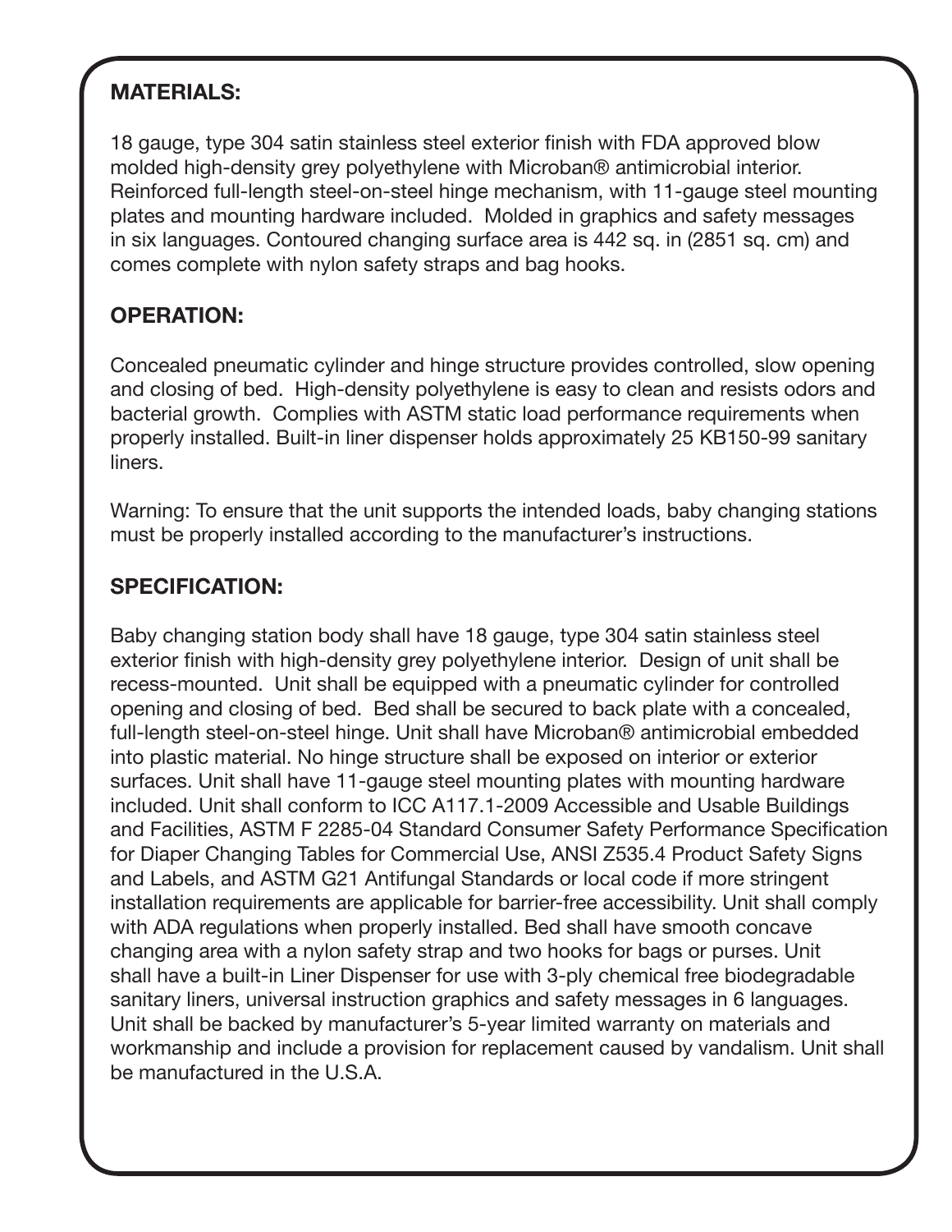## **MATERIALS:**

18 gauge, type 304 satin stainless steel exterior finish with FDA approved blow molded high-density grey polyethylene with Microban® antimicrobial interior. Reinforced full-length steel-on-steel hinge mechanism, with 11-gauge steel mounting plates and mounting hardware included. Molded in graphics and safety messages in six languages. Contoured changing surface area is 442 sq. in (2851 sq. cm) and comes complete with nylon safety straps and bag hooks.

### **OPERATION:**

Concealed pneumatic cylinder and hinge structure provides controlled, slow opening and closing of bed. High-density polyethylene is easy to clean and resists odors and bacterial growth. Complies with ASTM static load performance requirements when properly installed. Built-in liner dispenser holds approximately 25 KB150-99 sanitary liners.

Warning: To ensure that the unit supports the intended loads, baby changing stations must be properly installed according to the manufacturer's instructions.

#### **SPECIFICATION:**

Baby changing station body shall have 18 gauge, type 304 satin stainless steel exterior finish with high-density grey polyethylene interior. Design of unit shall be recess-mounted. Unit shall be equipped with a pneumatic cylinder for controlled opening and closing of bed. Bed shall be secured to back plate with a concealed, full-length steel-on-steel hinge. Unit shall have Microban® antimicrobial embedded into plastic material. No hinge structure shall be exposed on interior or exterior surfaces. Unit shall have 11-gauge steel mounting plates with mounting hardware included. Unit shall conform to ICC A117.1-2009 Accessible and Usable Buildings and Facilities, ASTM F 2285-04 Standard Consumer Safety Performance Specification for Diaper Changing Tables for Commercial Use, ANSI Z535.4 Product Safety Signs and Labels, and ASTM G21 Antifungal Standards or local code if more stringent installation requirements are applicable for barrier-free accessibility. Unit shall comply with ADA regulations when properly installed. Bed shall have smooth concave changing area with a nylon safety strap and two hooks for bags or purses. Unit shall have a built-in Liner Dispenser for use with 3-ply chemical free biodegradable sanitary liners, universal instruction graphics and safety messages in 6 languages. Unit shall be backed by manufacturer's 5-year limited warranty on materials and workmanship and include a provision for replacement caused by vandalism. Unit shall be manufactured in the U.S.A.